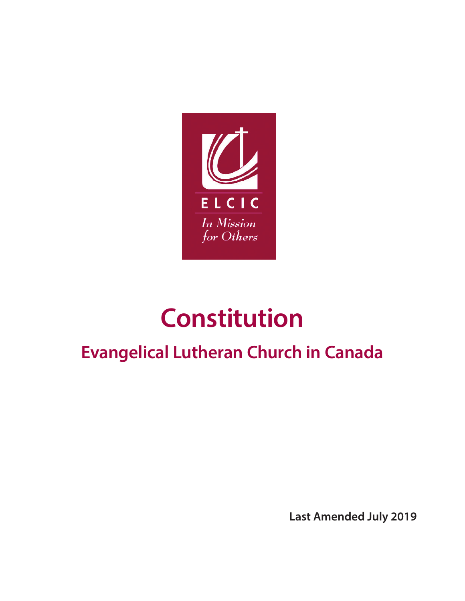

# **Constitution**

## **Evangelical Lutheran Church in Canada**

**Last Amended July 2019**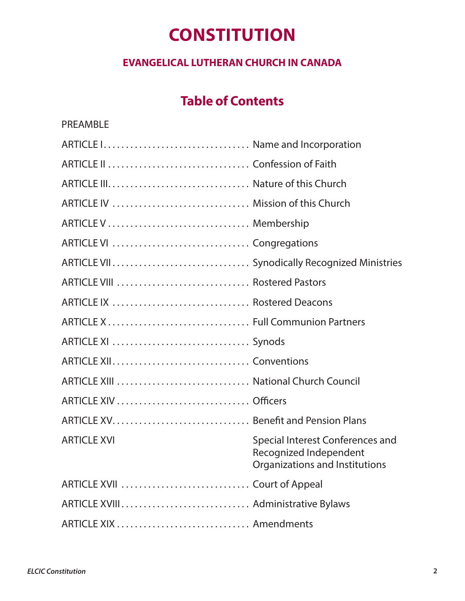### **CONSTITUTION**

#### **EVANGELICAL LUTHERAN CHURCH IN CANADA**

### **Table of Contents**

| <b>PREAMBLE</b>                    |                                                                                              |
|------------------------------------|----------------------------------------------------------------------------------------------|
| ARTICLE I Name and Incorporation   |                                                                                              |
|                                    |                                                                                              |
|                                    |                                                                                              |
| ARTICLE IV  Mission of this Church |                                                                                              |
|                                    |                                                                                              |
|                                    |                                                                                              |
|                                    |                                                                                              |
|                                    |                                                                                              |
|                                    |                                                                                              |
|                                    |                                                                                              |
|                                    |                                                                                              |
|                                    |                                                                                              |
|                                    |                                                                                              |
|                                    |                                                                                              |
|                                    |                                                                                              |
| <b>ARTICLE XVI</b>                 | Special Interest Conferences and<br>Recognized Independent<br>Organizations and Institutions |
| ARTICLE XVII  Court of Appeal      |                                                                                              |
|                                    |                                                                                              |
|                                    |                                                                                              |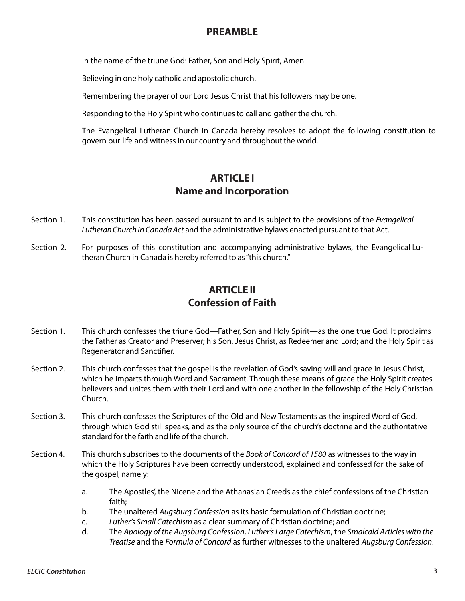#### **PREAMBLE**

In the name of the triune God: Father, Son and Holy Spirit, Amen.

Believing in one holy catholic and apostolic church.

Remembering the prayer of our Lord Jesus Christ that his followers may be one.

Responding to the Holy Spirit who continues to call and gather the church.

The Evangelical Lutheran Church in Canada hereby resolves to adopt the following constitution to govern our life and witness in our country and throughout the world.

#### **ARTICLE I Name and Incorporation**

- Section 1. This constitution has been passed pursuant to and is subject to the provisions of the *Evangelical Lutheran Church in Canada Act* and the administrative bylaws enacted pursuant to that Act.
- Section 2. For purposes of this constitution and accompanying administrative bylaws, the Evangelical Lutheran Church in Canada is hereby referred to as "this church."

#### **ARTICLE II Confession of Faith**

- Section 1. This church confesses the triune God—Father, Son and Holy Spirit—as the one true God. It proclaims the Father as Creator and Preserver; his Son, Jesus Christ, as Redeemer and Lord; and the Holy Spirit as Regenerator and Sanctifier.
- Section 2. This church confesses that the gospel is the revelation of God's saving will and grace in Jesus Christ, which he imparts through Word and Sacrament. Through these means of grace the Holy Spirit creates believers and unites them with their Lord and with one another in the fellowship of the Holy Christian Church.
- Section 3. This church confesses the Scriptures of the Old and New Testaments as the inspired Word of God, through which God still speaks, and as the only source of the church's doctrine and the authoritative standard for the faith and life of the church.
- Section 4. This church subscribes to the documents of the *Book of Concord of 1580* as witnesses to the way in which the Holy Scriptures have been correctly understood, explained and confessed for the sake of the gospel, namely:
	- a. The Apostles', the Nicene and the Athanasian Creeds as the chief confessions of the Christian faith;
	- b. The unaltered *Augsburg Confession* as its basic formulation of Christian doctrine;
	- c. *Luther's Small Catechism* as a clear summary of Christian doctrine; and
	- d. The *Apology of the Augsburg Confession*, *Luther's Large Catechism*, the *Smalcald Articles with the Treatise* and the *Formula of Concord* as further witnesses to the unaltered *Augsburg Confession*.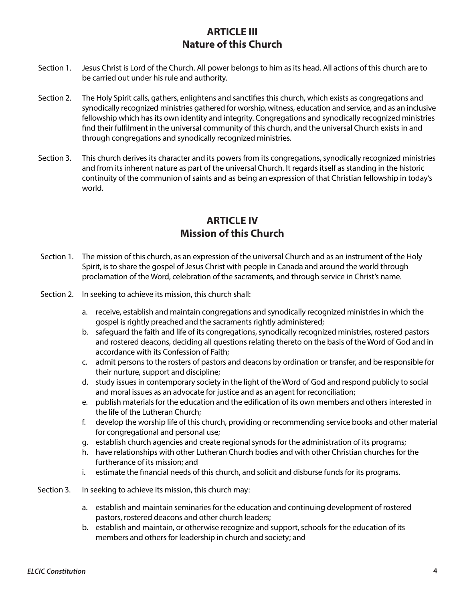#### **ARTICLE III Nature of this Church**

- Section 1. Jesus Christ is Lord of the Church. All power belongs to him as its head. All actions of this church are to be carried out under his rule and authority.
- Section 2. The Holy Spirit calls, gathers, enlightens and sanctifies this church, which exists as congregations and synodically recognized ministries gathered for worship, witness, education and service, and as an inclusive fellowship which has its own identity and integrity. Congregations and synodically recognized ministries find their fulfilment in the universal community of this church, and the universal Church exists in and through congregations and synodically recognized ministries.
- Section 3. This church derives its character and its powers from its congregations, synodically recognized ministries and from its inherent nature as part of the universal Church. It regards itself as standing in the historic continuity of the communion of saints and as being an expression of that Christian fellowship in today's world.

#### **ARTICLE IV Mission of this Church**

- Section 1. The mission of this church, as an expression of the universal Church and as an instrument of the Holy Spirit, is to share the gospel of Jesus Christ with people in Canada and around the world through proclamation of the Word, celebration of the sacraments, and through service in Christ's name.
- Section 2. In seeking to achieve its mission, this church shall:
	- a. receive, establish and maintain congregations and synodically recognized ministries in which the gospel is rightly preached and the sacraments rightly administered;
	- b. safeguard the faith and life of its congregations, synodically recognized ministries, rostered pastors and rostered deacons, deciding all questions relating thereto on the basis of the Word of God and in accordance with its Confession of Faith;
	- c. admit persons to the rosters of pastors and deacons by ordination or transfer, and be responsible for their nurture, support and discipline;
	- d. study issues in contemporary society in the light of the Word of God and respond publicly to social and moral issues as an advocate for justice and as an agent for reconciliation;
	- e. publish materials for the education and the edification of its own members and others interested in the life of the Lutheran Church;
	- f. develop the worship life of this church, providing or recommending service books and other material for congregational and personal use;
	- g. establish church agencies and create regional synods for the administration of its programs;
	- h. have relationships with other Lutheran Church bodies and with other Christian churches for the furtherance of its mission; and
	- i. estimate the financial needs of this church, and solicit and disburse funds for its programs.
- Section 3. In seeking to achieve its mission, this church may:
	- a. establish and maintain seminaries for the education and continuing development of rostered pastors, rostered deacons and other church leaders;
	- b. establish and maintain, or otherwise recognize and support, schools for the education of its members and others for leadership in church and society; and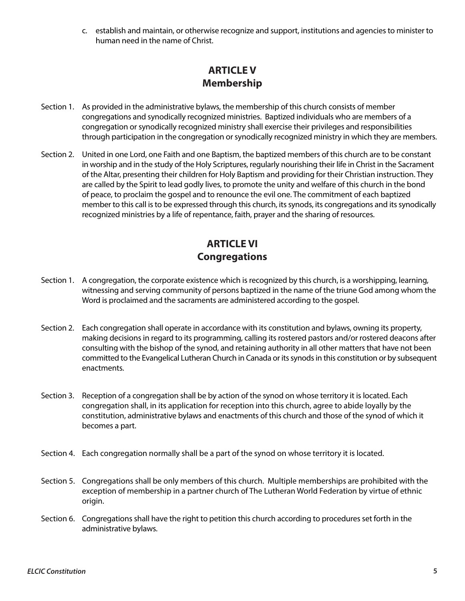c. establish and maintain, or otherwise recognize and support, institutions and agencies to minister to human need in the name of Christ.

#### **ARTICLE V Membership**

- Section 1. As provided in the administrative bylaws, the membership of this church consists of member congregations and synodically recognized ministries. Baptized individuals who are members of a congregation or synodically recognized ministry shall exercise their privileges and responsibilities through participation in the congregation or synodically recognized ministry in which they are members.
- Section 2. United in one Lord, one Faith and one Baptism, the baptized members of this church are to be constant in worship and in the study of the Holy Scriptures, regularly nourishing their life in Christ in the Sacrament of the Altar, presenting their children for Holy Baptism and providing for their Christian instruction. They are called by the Spirit to lead godly lives, to promote the unity and welfare of this church in the bond of peace, to proclaim the gospel and to renounce the evil one. The commitment of each baptized member to this call is to be expressed through this church, its synods, its congregations and its synodically recognized ministries by a life of repentance, faith, prayer and the sharing of resources.

#### **ARTICLE VI Congregations**

- Section 1. A congregation, the corporate existence which is recognized by this church, is a worshipping, learning, witnessing and serving community of persons baptized in the name of the triune God among whom the Word is proclaimed and the sacraments are administered according to the gospel.
- Section 2. Each congregation shall operate in accordance with its constitution and bylaws, owning its property, making decisions in regard to its programming, calling its rostered pastors and/or rostered deacons after consulting with the bishop of the synod, and retaining authority in all other matters that have not been committed to the Evangelical Lutheran Church in Canada or its synods in this constitution or by subsequent enactments.
- Section 3. Reception of a congregation shall be by action of the synod on whose territory it is located. Each congregation shall, in its application for reception into this church, agree to abide loyally by the constitution, administrative bylaws and enactments of this church and those of the synod of which it becomes a part.
- Section 4. Each congregation normally shall be a part of the synod on whose territory it is located.
- Section 5. Congregations shall be only members of this church. Multiple memberships are prohibited with the exception of membership in a partner church of The Lutheran World Federation by virtue of ethnic origin.
- Section 6. Congregations shall have the right to petition this church according to procedures set forth in the administrative bylaws.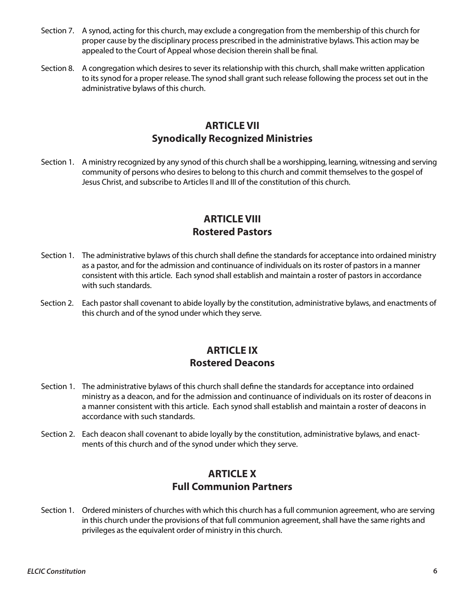- Section 7. A synod, acting for this church, may exclude a congregation from the membership of this church for proper cause by the disciplinary process prescribed in the administrative bylaws. This action may be appealed to the Court of Appeal whose decision therein shall be final.
- Section 8. A congregation which desires to sever its relationship with this church, shall make written application to its synod for a proper release. The synod shall grant such release following the process set out in the administrative bylaws of this church.

#### **ARTICLE VII Synodically Recognized Ministries**

Section 1. A ministry recognized by any synod of this church shall be a worshipping, learning, witnessing and serving community of persons who desires to belong to this church and commit themselves to the gospel of Jesus Christ, and subscribe to Articles II and III of the constitution of this church.

#### **ARTICLE VIII Rostered Pastors**

- Section 1. The administrative bylaws of this church shall define the standards for acceptance into ordained ministry as a pastor, and for the admission and continuance of individuals on its roster of pastors in a manner consistent with this article. Each synod shall establish and maintain a roster of pastors in accordance with such standards.
- Section 2. Each pastor shall covenant to abide loyally by the constitution, administrative bylaws, and enactments of this church and of the synod under which they serve.

#### **ARTICLE IX Rostered Deacons**

- Section 1. The administrative bylaws of this church shall define the standards for acceptance into ordained ministry as a deacon, and for the admission and continuance of individuals on its roster of deacons in a manner consistent with this article. Each synod shall establish and maintain a roster of deacons in accordance with such standards.
- Section 2. Each deacon shall covenant to abide loyally by the constitution, administrative bylaws, and enactments of this church and of the synod under which they serve.

#### **ARTICLE X Full Communion Partners**

Section 1. Ordered ministers of churches with which this church has a full communion agreement, who are serving in this church under the provisions of that full communion agreement, shall have the same rights and privileges as the equivalent order of ministry in this church.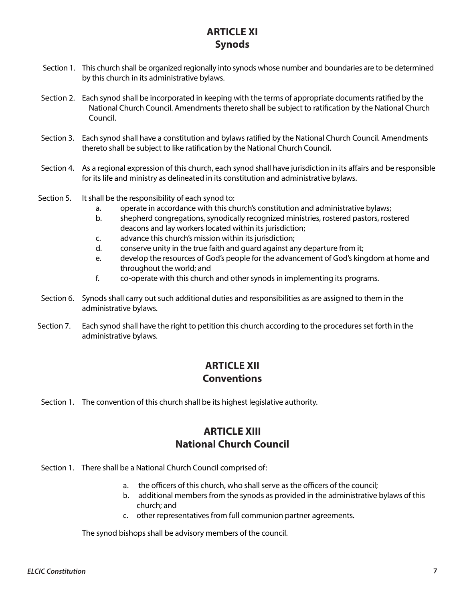#### **ARTICLE XI Synods**

- Section 1. This church shall be organized regionally into synods whose number and boundaries are to be determined by this church in its administrative bylaws.
- Section 2. Each synod shall be incorporated in keeping with the terms of appropriate documents ratified by the National Church Council. Amendments thereto shall be subject to ratification by the National Church Council.
- Section 3. Each synod shall have a constitution and bylaws ratified by the National Church Council. Amendments thereto shall be subject to like ratification by the National Church Council.
- Section 4. As a regional expression of this church, each synod shall have jurisdiction in its affairs and be responsible for its life and ministry as delineated in its constitution and administrative bylaws.
- Section 5. It shall be the responsibility of each synod to:
	- a. operate in accordance with this church's constitution and administrative bylaws;
	- b. shepherd congregations, synodically recognized ministries, rostered pastors, rostered deacons and lay workers located within its jurisdiction;
	- c. advance this church's mission within its jurisdiction;
	- d. conserve unity in the true faith and guard against any departure from it;
	- e. develop the resources of God's people for the advancement of God's kingdom at home and throughout the world; and
	- f. co-operate with this church and other synods in implementing its programs.
- Section 6. Synods shall carry out such additional duties and responsibilities as are assigned to them in the administrative bylaws.
- Section 7. Each synod shall have the right to petition this church according to the procedures set forth in the administrative bylaws.

#### **ARTICLE XII Conventions**

Section 1. The convention of this church shall be its highest legislative authority.

#### **ARTICLE XIII National Church Council**

Section 1. There shall be a National Church Council comprised of:

- a. the officers of this church, who shall serve as the officers of the council;
- b. additional members from the synods as provided in the administrative bylaws of this church; and
- c. other representatives from full communion partner agreements.

The synod bishops shall be advisory members of the council.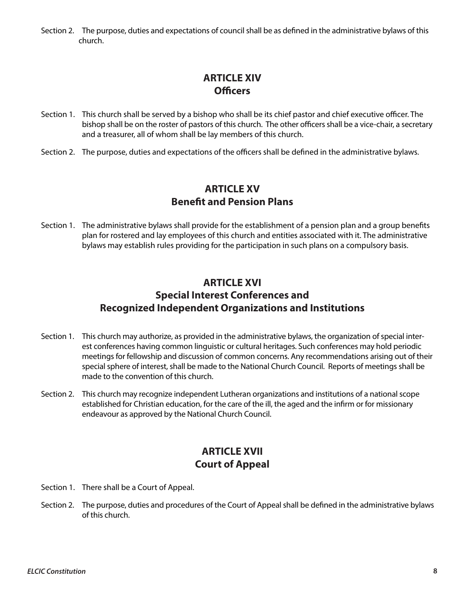Section 2. The purpose, duties and expectations of council shall be as defined in the administrative bylaws of this church.

#### **ARTICLE XIV Officers**

- Section 1. This church shall be served by a bishop who shall be its chief pastor and chief executive officer. The bishop shall be on the roster of pastors of this church. The other officers shall be a vice-chair, a secretary and a treasurer, all of whom shall be lay members of this church.
- Section 2. The purpose, duties and expectations of the officers shall be defined in the administrative bylaws.

#### **ARTICLE XV Benefit and Pension Plans**

Section 1. The administrative bylaws shall provide for the establishment of a pension plan and a group benefits plan for rostered and lay employees of this church and entities associated with it. The administrative bylaws may establish rules providing for the participation in such plans on a compulsory basis.

#### **ARTICLE XVI Special Interest Conferences and Recognized Independent Organizations and Institutions**

- Section 1. This church may authorize, as provided in the administrative bylaws, the organization of special interest conferences having common linguistic or cultural heritages. Such conferences may hold periodic meetings for fellowship and discussion of common concerns. Any recommendations arising out of their special sphere of interest, shall be made to the National Church Council. Reports of meetings shall be made to the convention of this church.
- Section 2. This church may recognize independent Lutheran organizations and institutions of a national scope established for Christian education, for the care of the ill, the aged and the infirm or for missionary endeavour as approved by the National Church Council.

#### **ARTICLE XVII Court of Appeal**

- Section 1. There shall be a Court of Appeal.
- Section 2. The purpose, duties and procedures of the Court of Appeal shall be defined in the administrative bylaws of this church.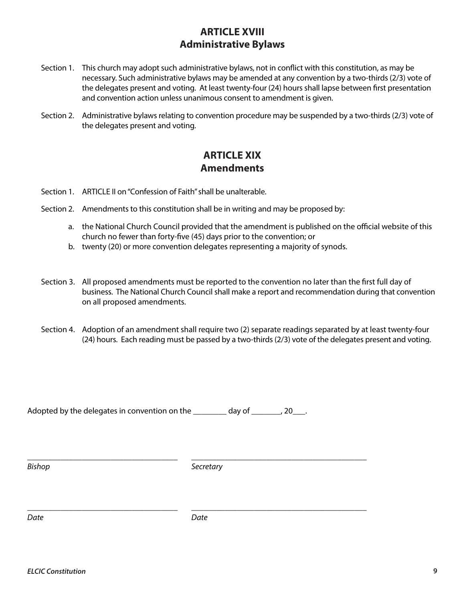#### **ARTICLE XVIII Administrative Bylaws**

- Section 1. This church may adopt such administrative bylaws, not in conflict with this constitution, as may be necessary. Such administrative bylaws may be amended at any convention by a two-thirds (2/3) vote of the delegates present and voting. At least twenty-four (24) hours shall lapse between first presentation and convention action unless unanimous consent to amendment is given.
- Section 2. Administrative bylaws relating to convention procedure may be suspended by a two-thirds (2/3) vote of the delegates present and voting.

#### **ARTICLE XIX Amendments**

- Section 1. ARTICLE II on "Confession of Faith" shall be unalterable.
- Section 2. Amendments to this constitution shall be in writing and may be proposed by:
	- a. the National Church Council provided that the amendment is published on the official website of this church no fewer than forty-five (45) days prior to the convention; or
	- b. twenty (20) or more convention delegates representing a majority of synods.
- Section 3. All proposed amendments must be reported to the convention no later than the first full day of business. The National Church Council shall make a report and recommendation during that convention on all proposed amendments.
- Section 4. Adoption of an amendment shall require two (2) separate readings separated by at least twenty-four (24) hours. Each reading must be passed by a two-thirds (2/3) vote of the delegates present and voting.

Adopted by the delegates in convention on the \_\_\_\_\_\_\_\_ day of \_\_\_\_\_\_\_, 20\_\_\_.

**Bishop** Secretary

\_\_\_\_\_\_\_\_\_\_\_\_\_\_\_\_\_\_\_\_\_\_\_\_\_\_\_\_\_\_\_\_\_\_\_\_ \_\_\_\_\_\_\_\_\_\_\_\_\_\_\_\_\_\_\_\_\_\_\_\_\_\_\_\_\_\_\_\_\_\_\_\_\_\_\_\_\_\_

*Date Date*

\_\_\_\_\_\_\_\_\_\_\_\_\_\_\_\_\_\_\_\_\_\_\_\_\_\_\_\_\_\_\_\_\_\_\_\_ \_\_\_\_\_\_\_\_\_\_\_\_\_\_\_\_\_\_\_\_\_\_\_\_\_\_\_\_\_\_\_\_\_\_\_\_\_\_\_\_\_\_